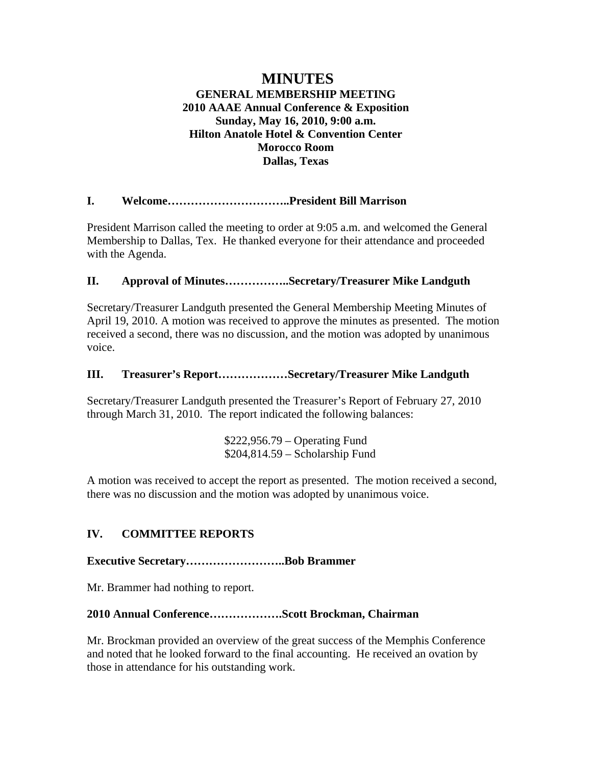# **MINUTES GENERAL MEMBERSHIP MEETING 2010 AAAE Annual Conference & Exposition Sunday, May 16, 2010, 9:00 a.m. Hilton Anatole Hotel & Convention Center Morocco Room Dallas, Texas**

# **I. Welcome…………………………..President Bill Marrison**

President Marrison called the meeting to order at 9:05 a.m. and welcomed the General Membership to Dallas, Tex. He thanked everyone for their attendance and proceeded with the Agenda.

## **II. Approval of Minutes……………..Secretary/Treasurer Mike Landguth**

Secretary/Treasurer Landguth presented the General Membership Meeting Minutes of April 19, 2010. A motion was received to approve the minutes as presented. The motion received a second, there was no discussion, and the motion was adopted by unanimous voice.

## **III. Treasurer's Report………………Secretary/Treasurer Mike Landguth**

Secretary/Treasurer Landguth presented the Treasurer's Report of February 27, 2010 through March 31, 2010. The report indicated the following balances:

> \$222,956.79 – Operating Fund \$204,814.59 – Scholarship Fund

A motion was received to accept the report as presented. The motion received a second, there was no discussion and the motion was adopted by unanimous voice.

# **IV. COMMITTEE REPORTS**

## **Executive Secretary……………………..Bob Brammer**

Mr. Brammer had nothing to report.

## **2010 Annual Conference……………….Scott Brockman, Chairman**

Mr. Brockman provided an overview of the great success of the Memphis Conference and noted that he looked forward to the final accounting. He received an ovation by those in attendance for his outstanding work.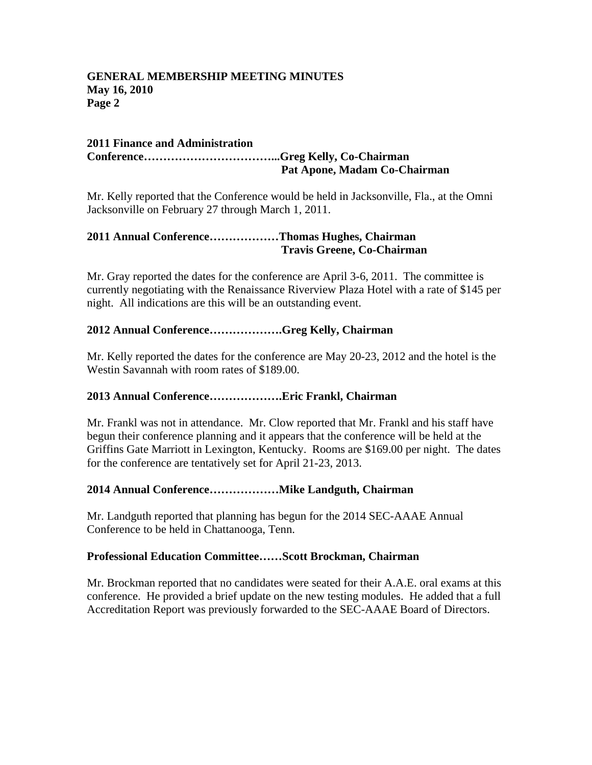#### **GENERAL MEMBERSHIP MEETING MINUTES May 16, 2010 Page 2**

#### **2011 Finance and Administration Conference……………………………...Greg Kelly, Co-Chairman Pat Apone, Madam Co-Chairman**

Mr. Kelly reported that the Conference would be held in Jacksonville, Fla., at the Omni Jacksonville on February 27 through March 1, 2011.

## **2011 Annual Conference………………Thomas Hughes, Chairman Travis Greene, Co-Chairman**

Mr. Gray reported the dates for the conference are April 3-6, 2011. The committee is currently negotiating with the Renaissance Riverview Plaza Hotel with a rate of \$145 per night. All indications are this will be an outstanding event.

## **2012 Annual Conference……………….Greg Kelly, Chairman**

Mr. Kelly reported the dates for the conference are May 20-23, 2012 and the hotel is the Westin Savannah with room rates of \$189.00.

## **2013 Annual Conference……………….Eric Frankl, Chairman**

Mr. Frankl was not in attendance. Mr. Clow reported that Mr. Frankl and his staff have begun their conference planning and it appears that the conference will be held at the Griffins Gate Marriott in Lexington, Kentucky. Rooms are \$169.00 per night. The dates for the conference are tentatively set for April 21-23, 2013.

# **2014 Annual Conference………………Mike Landguth, Chairman**

Mr. Landguth reported that planning has begun for the 2014 SEC-AAAE Annual Conference to be held in Chattanooga, Tenn.

## **Professional Education Committee……Scott Brockman, Chairman**

Mr. Brockman reported that no candidates were seated for their A.A.E. oral exams at this conference. He provided a brief update on the new testing modules. He added that a full Accreditation Report was previously forwarded to the SEC-AAAE Board of Directors.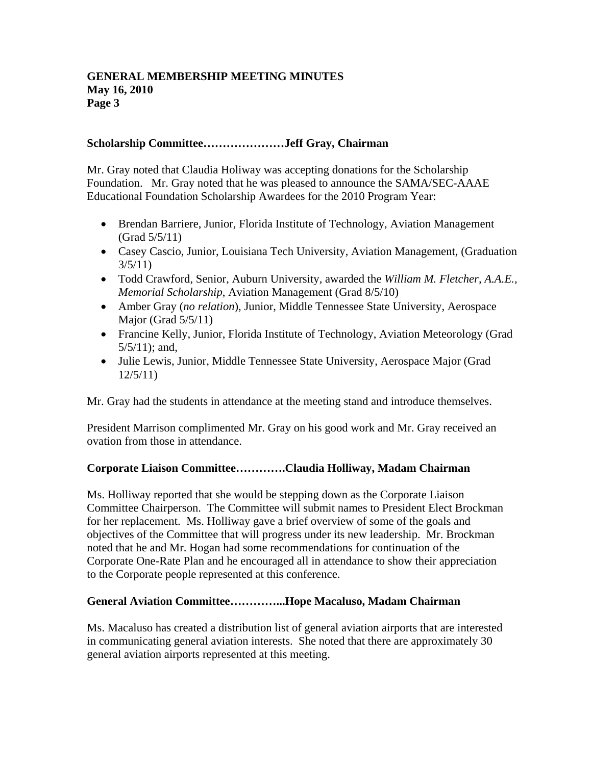#### **GENERAL MEMBERSHIP MEETING MINUTES May 16, 2010 Page 3**

## **Scholarship Committee…………………Jeff Gray, Chairman**

Mr. Gray noted that Claudia Holiway was accepting donations for the Scholarship Foundation. Mr. Gray noted that he was pleased to announce the SAMA/SEC-AAAE Educational Foundation Scholarship Awardees for the 2010 Program Year:

- Brendan Barriere, Junior, Florida Institute of Technology, Aviation Management (Grad 5/5/11)
- Casey Cascio, Junior, Louisiana Tech University, Aviation Management, (Graduation 3/5/11)
- Todd Crawford, Senior, Auburn University, awarded the *William M. Fletcher, A.A.E., Memorial Scholarship*, Aviation Management (Grad 8/5/10)
- Amber Gray (*no relation*), Junior, Middle Tennessee State University, Aerospace Major (Grad  $5/5/11$ )
- Francine Kelly, Junior, Florida Institute of Technology, Aviation Meteorology (Grad 5/5/11); and,
- Julie Lewis, Junior, Middle Tennessee State University, Aerospace Major (Grad 12/5/11)

Mr. Gray had the students in attendance at the meeting stand and introduce themselves.

President Marrison complimented Mr. Gray on his good work and Mr. Gray received an ovation from those in attendance.

## **Corporate Liaison Committee………….Claudia Holliway, Madam Chairman**

Ms. Holliway reported that she would be stepping down as the Corporate Liaison Committee Chairperson. The Committee will submit names to President Elect Brockman for her replacement. Ms. Holliway gave a brief overview of some of the goals and objectives of the Committee that will progress under its new leadership. Mr. Brockman noted that he and Mr. Hogan had some recommendations for continuation of the Corporate One-Rate Plan and he encouraged all in attendance to show their appreciation to the Corporate people represented at this conference.

## **General Aviation Committee…………...Hope Macaluso, Madam Chairman**

Ms. Macaluso has created a distribution list of general aviation airports that are interested in communicating general aviation interests. She noted that there are approximately 30 general aviation airports represented at this meeting.